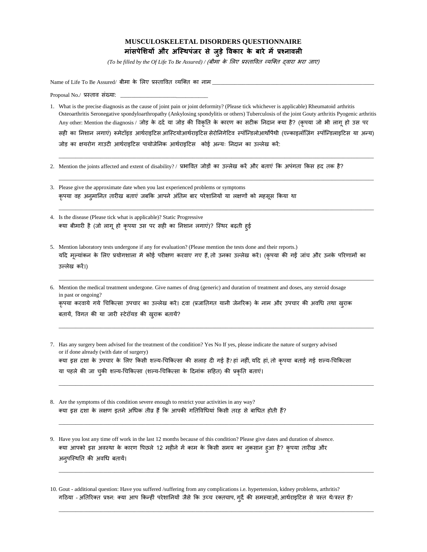## **MUSCULOSKELETAL DISORDERS QUESTIONNAIRE म ांसपेशियों और अस्थिपांजर से जुडेविक र के ब रे मेंप्रश्न िली**

*(To be filled by the Of Life To Be Assured) / (बीमा के लिए प्रस्तावित व्यक्ति दवारा भरा जाए)* 

Name of Life To Be Assured/ बीमा के लिए प्रस्तावित व्यक्ति का नाम

Proposal No./ प्रस्ताव संख्या:

1. What is the precise diagnosis as the cause of joint pain or joint deformity? (Please tick whichever is applicable) Rheumatoid arthritis Osteoarthritis Seronegative spondyloarthropathy (Ankylosing spondylitis or others) Tuberculosis of the joint Gouty arthritis Pyogenic arthritis Any other: Mention the diagnosis / जोड़ के दर्द या जोड़ की विकृति के कारण का सटीक निदान क्या है? (कृपया जो भी लागू हो उस पर सही का निशान लगाएं) रूमेटॉइड आर्थराइटिस आस्टियोआर्थराइटिस सेरोनिगेटिव स्पॉन्डिलोआर्थोपैथी (एन्काइलॉज़िंग स्पॉन्डिलाइटिस या अन्य) जोड़ का क्षयरोग गाउटी आर्दराइटटस पायोजेतनक आर्दराइटटस कोई अडयः तनदान का उल्िेख करें:

\_\_\_\_\_\_\_\_\_\_\_\_\_\_\_\_\_\_\_\_\_\_\_\_\_\_\_\_\_\_\_\_\_\_\_\_\_\_\_\_\_\_\_\_\_\_\_\_\_\_\_\_\_\_\_\_\_\_\_\_\_\_\_\_\_\_\_\_\_\_\_\_\_\_\_\_\_\_\_\_\_\_\_\_\_\_\_\_\_\_\_\_\_\_\_\_\_\_\_\_\_\_\_\_\_\_\_\_\_\_\_\_\_

\_\_\_\_\_\_\_\_\_\_\_\_\_\_\_\_\_\_\_\_\_\_\_\_\_\_\_\_\_\_\_\_\_\_\_\_\_\_\_\_\_\_\_\_\_\_\_\_\_\_\_\_\_\_\_\_\_\_\_\_\_\_\_\_\_\_\_\_\_\_\_\_\_\_\_\_\_\_\_\_\_\_\_\_\_\_\_\_\_\_\_\_\_\_\_\_\_\_\_\_\_\_\_\_\_\_\_\_\_\_\_\_\_

\_\_\_\_\_\_\_\_\_\_\_\_\_\_\_\_\_\_\_\_\_\_\_\_\_\_\_\_\_\_\_\_\_\_\_\_\_\_\_\_\_\_\_\_\_\_\_\_\_\_\_\_\_\_\_\_\_\_\_\_\_\_\_\_\_\_\_\_\_\_\_\_\_\_\_\_\_\_\_\_\_\_\_\_\_\_\_\_\_\_\_\_\_\_\_\_\_\_\_\_\_\_\_\_\_\_\_\_\_\_\_\_\_

- 2. Mention the joints affected and extent of disability? / प्रभावित जोड़ों का उल्लेख करें और बताएं कि अपंगता किस हद तक है?
- 3. Please give the approximate date when you last experienced problems or symptoms कृपया वह अनुमानित तारीख बताएं जबकि आपने अंतिम बार परेशानियों या लक्षणों को महसूस किया था
- 4. Is the disease (Please tick what is applicable)? Static Progressive क्या बीमारी है (जो लागू हो कृपया उस पर सही का निशान लगाएं)? स्थिर बढ़ती हुई
- 5. Mention laboratory tests undergone if any for evaluation? (Please mention the tests done and their reports.) यदि मूल्यांकन के लिए प्रयोगशाला में कोई परीक्षण करवाए गए हैं,तो उनका उल्लेख करें। (कृपया की गईं जांच और उनके परिणामों का उल्िेख करें।)

 $\_$  , and the set of the set of the set of the set of the set of the set of the set of the set of the set of the set of the set of the set of the set of the set of the set of the set of the set of the set of the set of th

 $\_$  , and the set of the set of the set of the set of the set of the set of the set of the set of the set of the set of the set of the set of the set of the set of the set of the set of the set of the set of the set of th

\_\_\_\_\_\_\_\_\_\_\_\_\_\_\_\_\_\_\_\_\_\_\_\_\_\_\_\_\_\_\_\_\_\_\_\_\_\_\_\_\_\_\_\_\_\_\_\_\_\_\_\_\_\_\_\_\_\_\_\_\_\_\_\_\_\_\_\_\_\_\_\_\_\_\_\_\_\_\_\_\_\_\_\_\_\_\_\_\_\_\_\_\_\_\_\_\_\_\_\_\_\_\_\_\_\_\_\_\_\_\_\_\_

 $\_$  , and the set of the set of the set of the set of the set of the set of the set of the set of the set of the set of the set of the set of the set of the set of the set of the set of the set of the set of the set of th

 $\_$  , and the set of the set of the set of the set of the set of the set of the set of the set of the set of the set of the set of the set of the set of the set of the set of the set of the set of the set of the set of th

 $\_$  , and the set of the set of the set of the set of the set of the set of the set of the set of the set of the set of the set of the set of the set of the set of the set of the set of the set of the set of the set of th

- 6. Mention the medical treatment undergone. Give names of drug (generic) and duration of treatment and doses, any steroid dosage in past or ongoing? कृपया करवाये गये चिकित्सा उपचार का उल्लेख करें। दवा (प्रजातिगत यानी जेनरिक) के नाम और उपचार की अवधि तथा खुराक बतायें, विगत की या जारी स्टेरॉयड की खुराक बतायें?
- 7. Has any surgery been advised for the treatment of the condition? Yes No If yes, please indicate the nature of surgery advised or if done already (with date of surgery) क्या इस दशा के उपचार के लिए किसी शल्य-चिकित्सा की सलाह दी गई है? हां नहीं, यदि हां, तो कृपया बताई गई शल्य-चिकित्सा या पहले की जा चुकी शल्य-चिकित्सा (शल्य-चिकित्सा के दिनांक सहित) की प्रकृति बताएं।
- 8. Are the symptoms of this condition severe enough to restrict your activities in any way? क्या इस दशा के लक्षण इतने अधिक तीव्र हैं कि आपकी गतिविधियां किसी तरह से बाधित होती हैं?
- 9. Have you lost any time off work in the last 12 months because of this condition? Please give dates and duration of absence. क्या आपको इस अवस्था के कारण पिछले 12 महीने में काम के किसी समय का नुकसान हुआ है? कृपया तारीख और अनुपस्थिति की अवधि बतायें।

10. Gout - additional question: Have you suffered /suffering from any complications i.e. hypertension, kidney problems, arthritis? गठिया - अतिरिक्त प्रश्न: क्या आप किन्हीं परेशानियों जैसे कि उच्च रक्तचाप, गुर्दे की समस्याओं, आर्थराइटिस से त्रस्त थै/त्रस्त हैं?